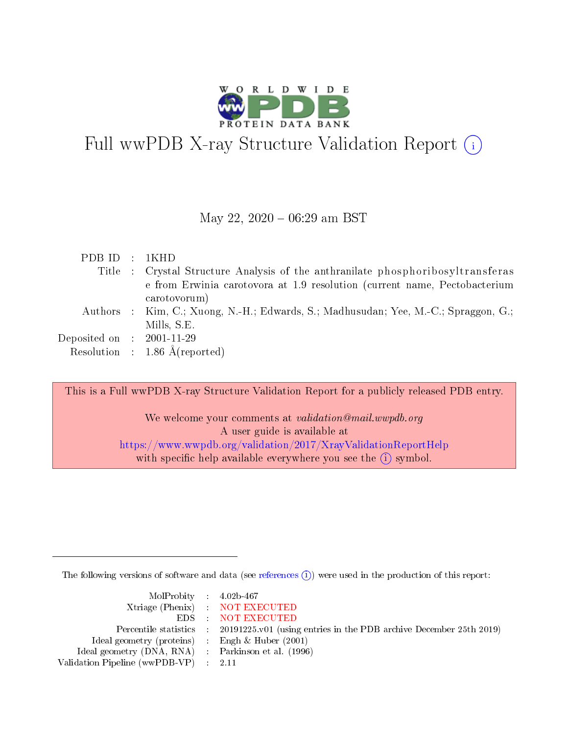

# Full wwPDB X-ray Structure Validation Report (i)

### May 22,  $2020 - 06:29$  am BST

| PDBID : 1KHD                |                                                                                           |
|-----------------------------|-------------------------------------------------------------------------------------------|
|                             | Title : Crystal Structure Analysis of the anthranilate phosphoribosyltransferas           |
|                             | e from Erwinia carotovora at 1.9 resolution (current name, Pectobacterium<br>carotovorum) |
|                             | Authors : Kim, C.; Xuong, N.-H.; Edwards, S.; Madhusudan; Yee, M.-C.; Spraggon, G.;       |
|                             | Mills, S.E.                                                                               |
| Deposited on : $2001-11-29$ |                                                                                           |
|                             | Resolution : $1.86 \text{ Å}$ (reported)                                                  |

This is a Full wwPDB X-ray Structure Validation Report for a publicly released PDB entry.

We welcome your comments at validation@mail.wwpdb.org A user guide is available at <https://www.wwpdb.org/validation/2017/XrayValidationReportHelp> with specific help available everywhere you see the  $(i)$  symbol.

The following versions of software and data (see [references](https://www.wwpdb.org/validation/2017/XrayValidationReportHelp#references)  $\overline{(1)}$ ) were used in the production of this report:

| $MolProbability$ 4.02b-467                          |                                                                    |
|-----------------------------------------------------|--------------------------------------------------------------------|
|                                                     | Xtriage (Phenix) NOT EXECUTED                                      |
|                                                     | EDS : NOT EXECUTED                                                 |
| Percentile statistics :                             | 20191225.v01 (using entries in the PDB archive December 25th 2019) |
| Ideal geometry (proteins) :                         | Engh $\&$ Huber (2001)                                             |
| Ideal geometry (DNA, RNA) : Parkinson et al. (1996) |                                                                    |
| Validation Pipeline (wwPDB-VP) : 2.11               |                                                                    |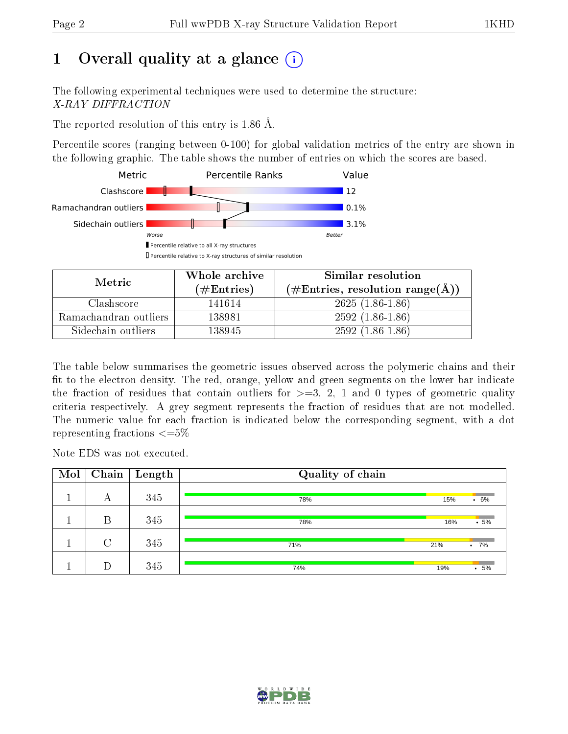# 1 [O](https://www.wwpdb.org/validation/2017/XrayValidationReportHelp#overall_quality)verall quality at a glance  $(i)$

The following experimental techniques were used to determine the structure: X-RAY DIFFRACTION

The reported resolution of this entry is 1.86 Å.

Percentile scores (ranging between 0-100) for global validation metrics of the entry are shown in the following graphic. The table shows the number of entries on which the scores are based.



| Metric                | Whole archive       | Similar resolution                                       |  |  |  |  |  |
|-----------------------|---------------------|----------------------------------------------------------|--|--|--|--|--|
|                       | (# $\rm{Entries}$ ) | $(\#\text{Entries}, \text{resolution range}(\text{\AA})$ |  |  |  |  |  |
| Clashscore            | 141614              | $2625(1.86-1.86)$                                        |  |  |  |  |  |
| Ramachandran outliers | 138981              | $2592(1.86-1.86)$                                        |  |  |  |  |  |
| Sidechain outliers    | 138945              | $2592(1.86-1.86)$                                        |  |  |  |  |  |

The table below summarises the geometric issues observed across the polymeric chains and their fit to the electron density. The red, orange, yellow and green segments on the lower bar indicate the fraction of residues that contain outliers for  $\geq=3$ , 2, 1 and 0 types of geometric quality criteria respectively. A grey segment represents the fraction of residues that are not modelled. The numeric value for each fraction is indicated below the corresponding segment, with a dot representing fractions  $\leq=5\%$ 

Note EDS was not executed.

| Mol | Chain          | $\overline{\phantom{a}}$ Length | Quality of chain |     |               |
|-----|----------------|---------------------------------|------------------|-----|---------------|
|     | А              | 345                             | 78%              | 15% | 6%<br>٠       |
|     | Β              | 345                             | 78%              | 16% | $-5%$         |
|     | $\overline{C}$ | 345                             | 71%              | 21% | 7%<br>$\cdot$ |
|     | D              | 345                             | 74%              | 19% | 5%            |

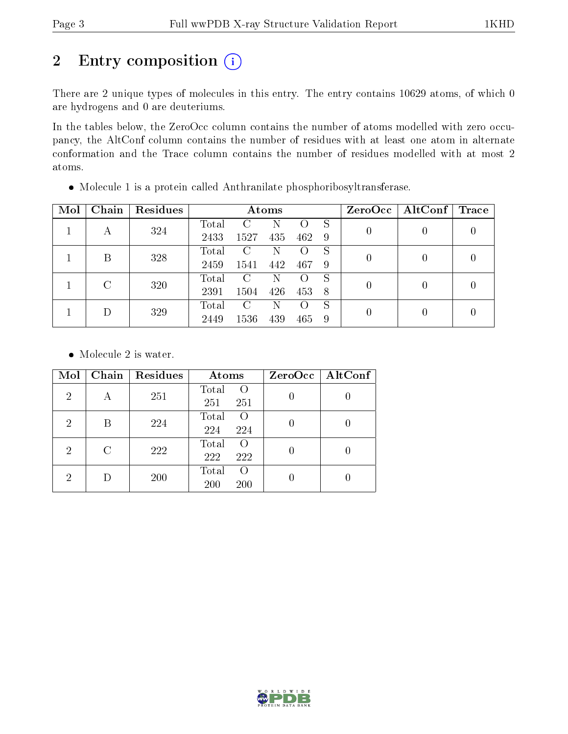# 2 Entry composition (i)

There are 2 unique types of molecules in this entry. The entry contains 10629 atoms, of which 0 are hydrogens and 0 are deuteriums.

In the tables below, the ZeroOcc column contains the number of atoms modelled with zero occupancy, the AltConf column contains the number of residues with at least one atom in alternate conformation and the Trace column contains the number of residues modelled with at most 2 atoms.

| Mol | Chain | Residues |       |      | Atoms |                  |   | ZeroOcc | $\mathbf{AltConf}$ | Trace |  |
|-----|-------|----------|-------|------|-------|------------------|---|---------|--------------------|-------|--|
| А   |       | 324      | Total | C    | Ν     |                  | S |         |                    |       |  |
|     |       | 2433     | 1527  | 435  | 462   | 9                |   |         |                    |       |  |
|     | В     | 328      | Total | C    | N     |                  | S | 0       | $\theta$           |       |  |
|     |       |          | 2459  | 1541 | 442   | 467              | 9 |         |                    |       |  |
|     | C     | 320      | Total | C    | N     |                  | S | 0       | $\theta$           |       |  |
|     |       | 2391     | 1504  | 426  | 453   | 8                |   |         |                    |       |  |
|     |       |          | Total | C    | Ν     | $\left( \right)$ | S | 0       |                    |       |  |
|     |       | 329      | 2449  | 1536 | 439   | 465              | 9 |         |                    |       |  |

Molecule 1 is a protein called Anthranilate phosphoribosyltransferase.

• Molecule 2 is water.

| Mol            | Chain | Residues | Atoms                                   | ZeroOcc   AltConf |
|----------------|-------|----------|-----------------------------------------|-------------------|
| $\overline{2}$ | А     | 251      | Total<br>$\Omega$<br>251<br>251         |                   |
| 2              | В     | 224      | Total<br>$\Omega$<br>224<br>224         |                   |
| 2              | C     | 222      | Total<br>$\left( \right)$<br>222<br>222 |                   |
| 2              |       | 200      | Total<br>$\left($<br>200<br>200         |                   |

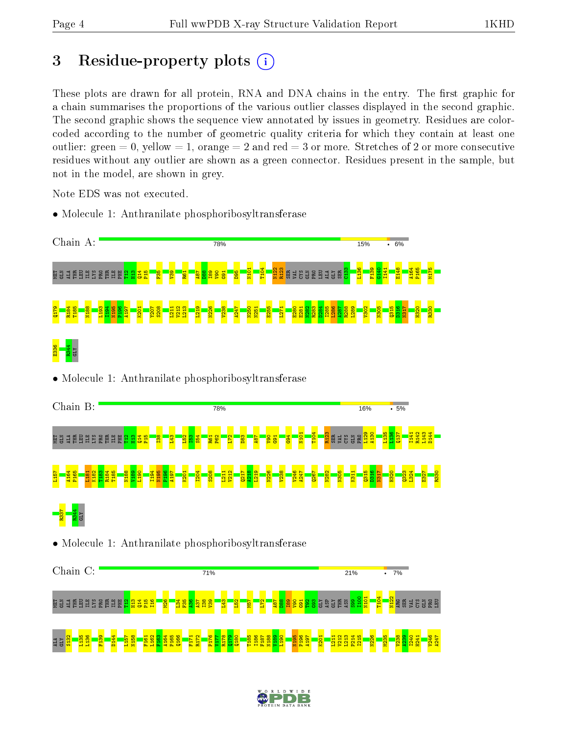# 3 Residue-property plots  $(i)$

These plots are drawn for all protein, RNA and DNA chains in the entry. The first graphic for a chain summarises the proportions of the various outlier classes displayed in the second graphic. The second graphic shows the sequence view annotated by issues in geometry. Residues are colorcoded according to the number of geometric quality criteria for which they contain at least one outlier: green  $= 0$ , yellow  $= 1$ , orange  $= 2$  and red  $= 3$  or more. Stretches of 2 or more consecutive residues without any outlier are shown as a green connector. Residues present in the sample, but not in the model, are shown in grey.

Note EDS was not executed.

• Molecule 1: Anthranilate phosphoribosyltransferase



• Molecule 1: Anthranilate phosphoribosyltransferase

| Chain B:                                             |                                                      |                |  |             |      |                  |                  |                                    |                |             |                             |             | 78%               |                   |                 |            |                 |            |                |                  |                 |                  |                                                                                               |          | 16% |            |             | .5%             |              |                                 |             |
|------------------------------------------------------|------------------------------------------------------|----------------|--|-------------|------|------------------|------------------|------------------------------------|----------------|-------------|-----------------------------|-------------|-------------------|-------------------|-----------------|------------|-----------------|------------|----------------|------------------|-----------------|------------------|-----------------------------------------------------------------------------------------------|----------|-----|------------|-------------|-----------------|--------------|---------------------------------|-------------|
| L 3 3 4 6 8 8 9 8 8 6 8 8 8 8 <mark>8 8 9 8 8</mark> |                                                      |                |  |             |      |                  |                  | <b>a</b>                           | <mark>段</mark> |             | <mark>ន្ទ្រី ន</mark> ្ទ្រី |             | <b>R61</b><br>P62 | b                 | $\overline{83}$ | <b>RBI</b> | <b>Dea</b>      |            | $\frac{1}{62}$ | N <sub>101</sub> | $\frac{104}{1}$ | R <sub>123</sub> | <mark>រំ</mark> ធ្លី ដូន មិន <mark>ដូន</mark><br><mark>ម</mark> ្រុក និង មិន <mark>ដូន</mark> |          |     |            |             | $\frac{137}{2}$ |              | $\overline{z}$ a $\overline{z}$ |             |
| L <sub>157</sub>                                     | $\frac{16}{2}$                                       | $\frac{8}{18}$ |  | <b>T185</b> | 681A | $\frac{190}{20}$ | I <sub>194</sub> | P <sub>196</sub><br>$\overline{9}$ | 197            | <b>K201</b> | $\overline{120}$            | <b>S208</b> |                   | $\frac{121}{212}$ | $\frac{1}{20}$  | 219        | $\frac{1}{226}$ | <b>238</b> | <b>7246</b>    | $\overline{a}$   | 0267            | <b>N282</b>      | ao <mark>s</mark>                                                                             | <b>E</b> |     | <b>BEE</b> | <b>Н320</b> |                 | 0323<br>L324 | <b>E32</b>                      | <b>R330</b> |
|                                                      |                                                      |                |  |             |      |                  |                  |                                    |                |             |                             |             |                   |                   |                 |            |                 |            |                |                  |                 |                  |                                                                                               |          |     |            |             |                 |              |                                 |             |
|                                                      | • Molecule 1: Anthranilate phosphoribosyltransferase |                |  |             |      |                  |                  |                                    |                |             |                             |             |                   |                   |                 |            |                 |            |                |                  |                 |                  |                                                                                               |          |     |            |             |                 |              |                                 |             |



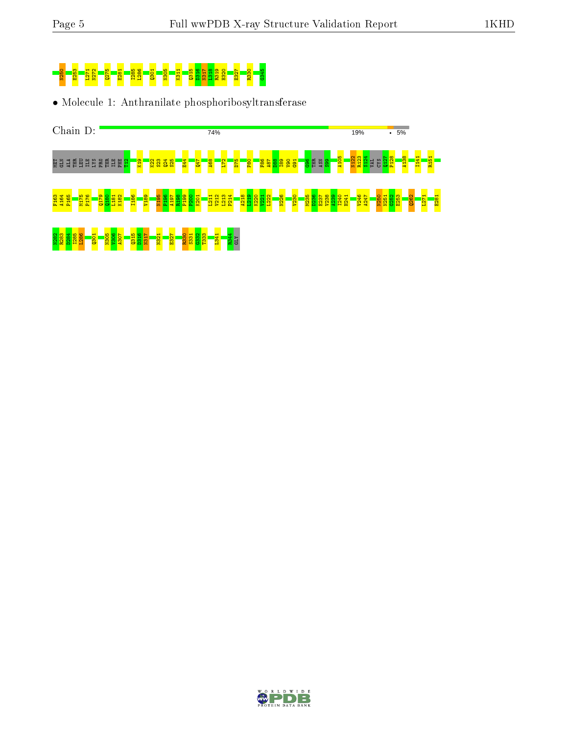

• Molecule 1: Anthranilate phosphoribosyltransferase



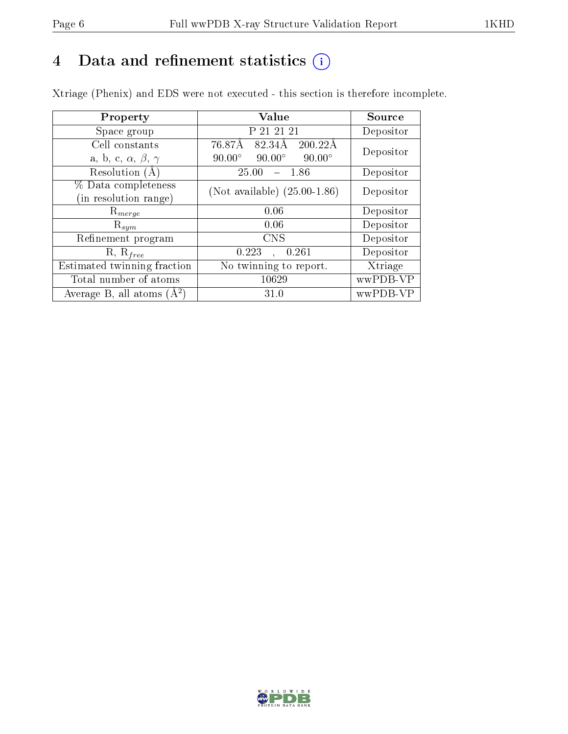## 4 Data and refinement statistics  $(i)$

Xtriage (Phenix) and EDS were not executed - this section is therefore incomplete.

| Property                               | <b>Value</b>                                    | Source    |  |  |
|----------------------------------------|-------------------------------------------------|-----------|--|--|
| Space group                            | P 21 21 21                                      | Depositor |  |  |
| Cell constants                         | 76.87Å<br>82.34Å<br>200.22A                     | Depositor |  |  |
| a, b, c, $\alpha$ , $\beta$ , $\gamma$ | $90.00^\circ$<br>$90.00^\circ$<br>$90.00^\circ$ |           |  |  |
| Resolution $(A)$                       | 25.00<br>- 1.86                                 | Depositor |  |  |
| % Data completeness                    | (Not available) $(25.00-1.86)$                  | Depositor |  |  |
| in resolution range)                   |                                                 |           |  |  |
| $\mathrm{R}_{merge}$                   | 0.06                                            | Depositor |  |  |
| $\mathrm{R}_{sym}$                     | 0.06                                            | Depositor |  |  |
| Refinement program                     | <b>CNS</b>                                      | Depositor |  |  |
| $R, R_{free}$                          | 0.223<br>0.261                                  | Depositor |  |  |
| Estimated twinning fraction            | No twinning to report.                          | Xtriage   |  |  |
| Total number of atoms                  | 10629                                           | wwPDB-VP  |  |  |
| Average B, all atoms $(A^2)$           | 31.0                                            | wwPDB-VP  |  |  |

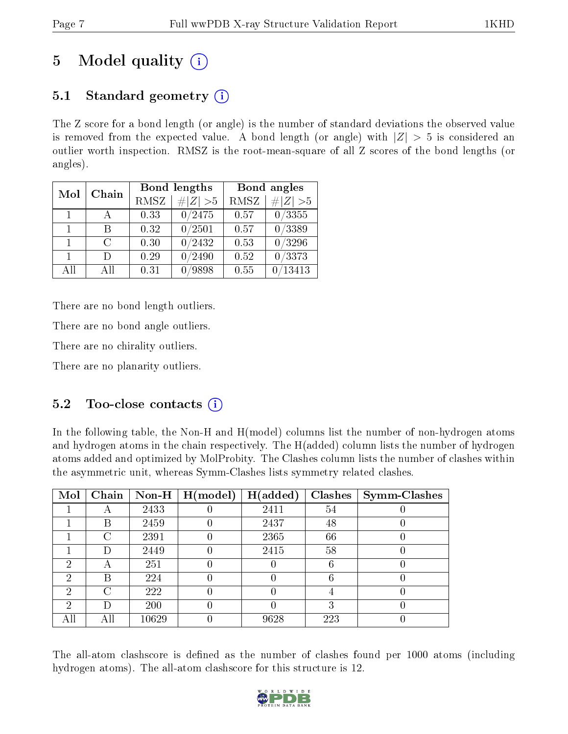# 5 Model quality  $(i)$

## 5.1 Standard geometry  $\overline{()}$

The Z score for a bond length (or angle) is the number of standard deviations the observed value is removed from the expected value. A bond length (or angle) with  $|Z| > 5$  is considered an outlier worth inspection. RMSZ is the root-mean-square of all Z scores of the bond lengths (or angles).

| Mol            | Chain  |      | Bond lengths | Bond angles |                 |  |  |
|----------------|--------|------|--------------|-------------|-----------------|--|--|
|                |        | RMSZ | $\# Z  > 5$  | RMSZ        | # $ Z  > 5$     |  |  |
| $\overline{1}$ |        | 0.33 | 0/2475       | 0.57        | 0/3355          |  |  |
| $\mathbf{1}$   | R      | 0.32 | 0/2501       | 0.57        | 0/3389          |  |  |
| $\mathbf{1}$   | $\cap$ | 0.30 | 0/2432       | 0.53        | $\sqrt{0/3296}$ |  |  |
| $\mathbf{1}$   | $\Box$ | 0.29 | /2490        | 0.52        | 0/3373          |  |  |
| AH             | A 11   | 0.31 | 9898         | 0.55        | 13413           |  |  |

There are no bond length outliers.

There are no bond angle outliers.

There are no chirality outliers.

There are no planarity outliers.

## 5.2 Too-close contacts  $\overline{()}$

In the following table, the Non-H and H(model) columns list the number of non-hydrogen atoms and hydrogen atoms in the chain respectively. The H(added) column lists the number of hydrogen atoms added and optimized by MolProbity. The Clashes column lists the number of clashes within the asymmetric unit, whereas Symm-Clashes lists symmetry related clashes.

| Mol | Chain |           | Non-H $\mid$ H(model) | H(added) | Clashes | <b>Symm-Clashes</b> |
|-----|-------|-----------|-----------------------|----------|---------|---------------------|
|     |       | 2433      |                       | 2411     | 54      |                     |
|     | В     | 2459      |                       | 2437     | 48      |                     |
|     | C     | 2391      |                       | 2365     | 66      |                     |
|     | Ð     | 2449      |                       | 2415     | 58      |                     |
| 2   | А     | 251       |                       |          | 6       |                     |
| 2   | В     | 224       |                       |          | 6       |                     |
| 2   | C     | 222       |                       |          |         |                     |
| 2   | D     | 200       |                       |          | 3       |                     |
| All | Αll   | $10629\,$ |                       | 9628     | 223     |                     |

The all-atom clashscore is defined as the number of clashes found per 1000 atoms (including hydrogen atoms). The all-atom clashscore for this structure is 12.

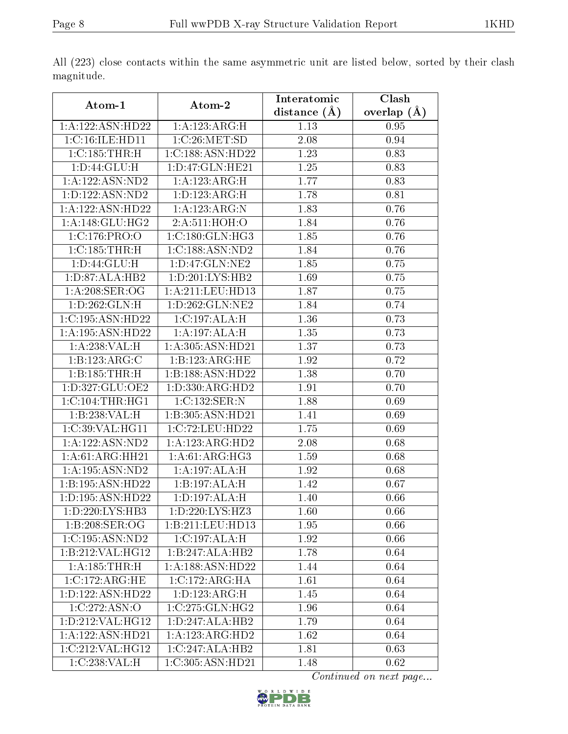|                      |                            | Interatomic      | Clash         |
|----------------------|----------------------------|------------------|---------------|
| Atom-1               | Atom-2                     | distance $(\AA)$ | overlap $(A)$ |
| 1:A:122:ASN:HD22     | 1:A:123:ARG:H              | 1.13             | 0.95          |
| 1:C:16:ILE:HDI1      | 1:C:26:MET:SD              | 2.08             | 0.94          |
| 1:C:185:THR:H        | 1:C:188:ASN:HD22           | 1.23             | 0.83          |
| 1: D:44: GLU: H      | 1: D: 47: GLN: HE21        | 1.25             | 0.83          |
| 1:A:122:ASN:ND2      | 1:A:123:ARG:H              | 1.77             | 0.83          |
| 1: D: 122: ASN: ND2  | 1:D:123:ARG:H              | 1.78             | 0.81          |
| 1:A:122:ASN:HD22     | 1:A:123:ARG:N              | 1.83             | 0.76          |
| 1: A:148: GLU: HG2   | 2:A:511:HOH:O              | 1.84             | 0.76          |
| 1:C:176:PRO:O        | 1: C: 180: GLN: HG3        | 1.85             | 0.76          |
| 1: C: 185: THR:H     | 1:C:188:ASN:ND2            | 1.84             | 0.76          |
| 1: D:44: GLU: H      | 1: D: 47: GLN: NE2         | 1.85             | 0.75          |
| 1:D:87:ALA:HB2       | 1: D: 201: LYS: HB2        | 1.69             | 0.75          |
| 1: A:208: SER:OG     | 1:A:211:LEU:HD13           | 1.87             | 0.75          |
| 1: D: 262: GLN: H    | 1:D:262:GLN:NE2            | 1.84             | 0.74          |
| 1:C:195:ASN:HD22     | 1:C:197:ALA:H              | 1.36             | 0.73          |
| 1:A:195:ASN:HD22     | 1:A:197:ALA:H              | 1.35             | 0.73          |
| 1:A:238:VAL:H        | 1:A:305:ASN:HD21           | 1.37             | 0.73          |
| 1:B:123:ARG:C        | 1:B:123:ARG:HE             | 1.92             | 0.72          |
| 1:B:185:THR:H        | 1:B:188:ASN:HD22           | 1.38             | 0.70          |
| 1: D: 327: GLU: OE2  | 1: D: 330: ARG: HD2        | 1.91             | 0.70          |
| 1: C: 104: THR: HG1  | 1:C:132:SER:N              | 1.88             | 0.69          |
| 1:B:238:VAL:H        | 1:B:305:ASN:HD21           | 1.41             | 0.69          |
| 1:C:39:VAL:HG11      | 1:C:72:LEU:HD22            | 1.75             | 0.69          |
| 1:A:122:ASN:ND2      | 1:A:123:ARG:HD2            | 2.08             | 0.68          |
| 1:A:61:ARG:HH21      | 1:A:61:ARG:HG3             | 1.59             | 0.68          |
| 1: A: 195: ASN: ND2  | $1:A:197:\overline{ALA:H}$ | 1.92             | 0.68          |
| 1:B:195:ASN:HD22     | 1:B:197:ALA:H              | 1.42             | 0.67          |
| 1: D: 195: ASN: HD22 | 1:D:197:ALA:H              | 1.40             | 0.66          |
| 1: D: 220: LYS: HB3  | 1:D:220:LYS:HZ3            | 1.60             | 0.66          |
| 1:B:208:SER:OG       | 1:B:211:LEU:HD13           | 1.95             | 0.66          |
| 1:C:195:ASN:ND2      | 1:C:197:ALA:H              | 1.92             | 0.66          |
| 1:B:212:VAL:HG12     | 1:B:247:ALA:HB2            | 1.78             | 0.64          |
| 1:A:185:THR:H        | 1:A:188:ASN:HD22           | 1.44             | 0.64          |
| 1:C:172:ARG:HE       | 1:C:172:ARG:HA             | 1.61             | 0.64          |
| 1:D:122:ASN:HD22     | 1: D: 123: ARG:H           | 1.45             | 0.64          |
| 1:C:272:ASN:O        | 1:C:275:GLN:HG2            | 1.96             | 0.64          |
| 1: D: 212: VAL: HG12 | 1: D: 247: ALA: HB2        | 1.79             | 0.64          |
| 1:A:122:ASN:HD21     | 1:A:123:ARG:HD2            | 1.62             | 0.64          |
| 1:C:212:VAL:HG12     | 1:C:247:ALA:HB2            | 1.81             | 0.63          |
| 1:C:238:VAL:H        | 1:C:305:ASN:HD21           | 1.48             | 0.62          |

All (223) close contacts within the same asymmetric unit are listed below, sorted by their clash magnitude.

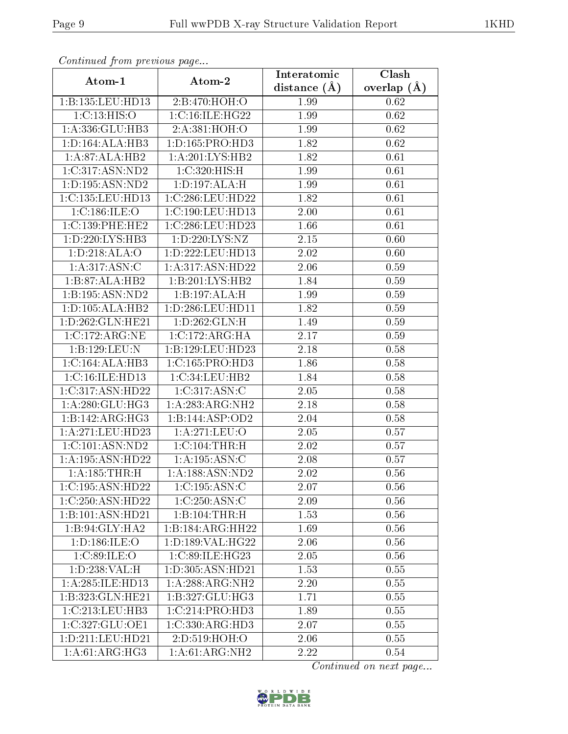| Continued from previous page |                      | Interatomic    | $\overline{\text{Clash}}$ |
|------------------------------|----------------------|----------------|---------------------------|
| Atom-1                       | Atom-2               | distance $(A)$ | overlap $(A)$             |
| 1:B:135:LEU:HD13             | 2:B:470:HOH:O        | 1.99           | 0.62                      |
| 1:C:13:HIS:O                 | 1:C:16:ILE:HG22      | 1.99           | 0.62                      |
| 1:A:336:GLU:HB3              | 2:A:381:HOH:O        | 1.99           | $0.62\,$                  |
| 1: D: 164: ALA: HB3          | 1: D: 165: PRO: HD3  | 1.82           | 0.62                      |
| 1: A:87: ALA:HB2             | 1:A:201:LYS:HB2      | 1.82           | 0.61                      |
| 1:C:317:ASN:ND2              | 1:C:320:HIS:H        | 1.99           | 0.61                      |
| 1: D: 195: ASN: ND2          | 1: D: 197: ALA: H    | 1.99           | 0.61                      |
| 1:C:135:LEU:HD13             | 1:C:286:LEU:HD22     | 1.82           | 0.61                      |
| 1:C:186:ILE:O                | 1:C:190:LEU:HD13     | 2.00           | 0.61                      |
| 1:C:139:PHE:HE2              | 1:C:286:LEU:HD23     | 1.66           | 0.61                      |
| 1: D: 220: LYS: HB3          | 1:D:220:LYS:NZ       | 2.15           | 0.60                      |
| 1:D:218:ALA:O                | 1: D: 222: LEU: HD13 | 2.02           | 0.60                      |
| $1:A:317.\overline{ASN:C}$   | 1:A:317:ASN:HD22     | 2.06           | 0.59                      |
| 1:B:87:ALA:HB2               | 1:B:201:LYS:HB2      | 1.84           | 0.59                      |
| 1:B:195:ASN:ND2              | 1:B:197:ALA:H        | 1.99           | 0.59                      |
| 1: D: 105: ALA: HB2          | 1:D:286:LEU:HD11     | 1.82           | 0.59                      |
| 1:D:262:GLN:HE21             | 1: D:262: GLN:H      | 1.49           | 0.59                      |
| 1:C:172:ARG:NE               | 1:C:172:ARG:HA       | 2.17           | 0.59                      |
| 1:B:129:LEU:N                | 1:B:129:LEU:HD23     | 2.18           | 0.58                      |
| 1:C:164:ALA:HB3              | 1:C:165:PRO:HD3      | 1.86           | 0.58                      |
| 1:C:16:ILE:HD13              | 1:C:34:LEU:HB2       | 1.84           | 0.58                      |
| 1:C:317:ASN:HD22             | 1:C:317:ASN:C        | 2.05           | 0.58                      |
| 1: A:280: GLU:HG3            | 1:A:283:ARG:NH2      | 2.18           | 0.58                      |
| 1:B:142:ARG:HG3              | 1:B:144:ASP:OD2      | 2.04           | 0.58                      |
| 1:A:271:LEU:HD23             | 1: A:271:LEU:O       | 2.05           | 0.57                      |
| 1:C:101:ASN:ND2              | 1: C: 104: THR:H     | 2.02           | 0.57                      |
| 1:A:195:ASN:HD22             | 1:A:195:ASN:C        | 2.08           | 0.57                      |
| 1:A:185:THR:H                | 1:A:188:ASN:ND2      | 2.02           | 0.56                      |
| 1:C:195:ASN:HD22             | 1:C:195:ASN:C        | 2.07           | 0.56                      |
| 1:C:250:ASN:HD22             | 1:C:250:ASN:C        | 2.09           | $0.56\,$                  |
| 1:B:101:ASN:HD21             | 1:B:104:THR:H        | 1.53           | 0.56                      |
| 1:B:94:GLY:HA2               | 1:B:184:ARG:HH22     | 1.69           | 0.56                      |
| 1:D:186:ILE:O                | 1: D: 189: VAL: HG22 | 2.06           | 0.56                      |
| 1:C:89:ILE:O                 | 1:C:89:ILE:HG23      | 2.05           | 0.56                      |
| 1:D:238:VAL:H                | 1:D:305:ASN:HD21     | 1.53           | 0.55                      |
| 1:A:285:ILE:HD13             | 1:A:288:ARG:NH2      | 2.20           | 0.55                      |
| 1:B:323:GLN:HE21             | 1:B:327:GLU:HG3      | 1.71           | 0.55                      |
| 1:C:213:LEU:HB3              | 1:C:214:PRO:HD3      | 1.89           | 0.55                      |
| 1:C:327:GLU:OE1              | 1:C:330:ARG:HD3      | 2.07           | 0.55                      |
| 1:D:211:LEU:HD21             | 2:D:519:HOH:O        | 2.06           | 0.55                      |
| 1:A:61:ARG:HG3               | 1:A:61:ARG:NH2       | 2.22           | 0.54                      |

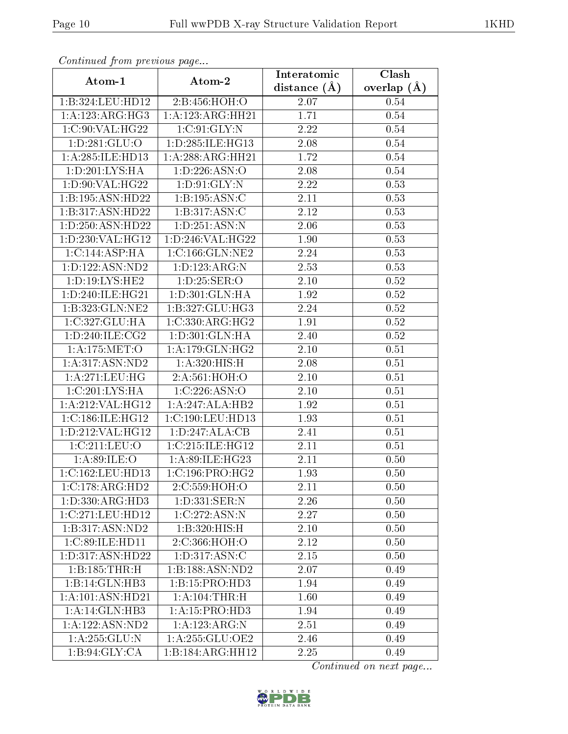| сонинией јтот ртеvious раде  |                     | Interatomic    | Clash           |
|------------------------------|---------------------|----------------|-----------------|
| Atom-1                       | Atom-2              | distance $(A)$ | overlap $(\AA)$ |
| 1:B:324:LEU:HD12             | 2:B:456:HOH:O       | 2.07           | 0.54            |
| 1:A:123:ARG:HG3              | 1:A:123:ARG:HH21    | 1.71           | 0.54            |
| 1:C:90:VAL:HG22              | 1:C:91:GLY:N        | 2.22           | $0.54\,$        |
| 1: D: 281: GLU:O             | 1:D:285:ILE:HG13    | 2.08           | 0.54            |
| 1:A:285:ILE:HD13             | 1:A:288:ARG:HH21    | 1.72           | 0.54            |
| 1: D: 201: LYS: HA           | 1: D: 226: ASN:O    | 2.08           | 0.54            |
| 1: D:90: VAL:HG22            | 1: D:91: GLY:N      | 2.22           | 0.53            |
| 1:B:195:ASN:HD22             | 1:B:195:ASN:C       | 2.11           | 0.53            |
| 1:B:317:ASN:HD22             | 1:B:317:ASN:C       | 2.12           | 0.53            |
| 1:D:250:ASN:HD22             | 1: D: 251: ASN: N   | 2.06           | 0.53            |
| 1:D:230:VAL:HG12             | 1: D: 246: VAL:HG22 | 1.90           | 0.53            |
| $1:C:144: \overline{ASP:HA}$ | 1:C:166:GLN:NE2     | 2.24           | 0.53            |
| 1: D: 122: ASN: ND2          | 1:D:123:ARG:N       | 2.53           | 0.53            |
| 1: D: 19: LYS: HE2           | 1: D: 25: SER: O    | 2.10           | 0.52            |
| 1:D:240:ILE:HG21             | 1:D:301:GLN:HA      | 1.92           | 0.52            |
| 1:B:323:GLN:NE2              | 1:B:327:GLU:HG3     | 2.24           | 0.52            |
| 1:C:327:GLU:HA               | 1:C:330:ARG:HG2     | 1.91           | $0.52\,$        |
| 1: D: 240: ILE: CG2          | 1: D:301: GLN: HA   | 2.40           | 0.52            |
| 1: A:175: MET:O              | 1: A:179: GLN: HG2  | 2.10           | 0.51            |
| 1:A:317:ASN:ND2              | 1: A:320:HIS:H      | 2.08           | 0.51            |
| 1: A:271:LEU:HG              | 2:A:561:HOH:O       | 2.10           | 0.51            |
| 1:C:201:LYS:HA               | 1:C:226:ASN:O       | 2.10           | 0.51            |
| 1:A:212:VAL:HG12             | 1:A:247:ALA:HB2     | 1.92           | 0.51            |
| 1:C:186:ILE:HG12             | 1:C:190:LEU:HD13    | 1.93           | 0.51            |
| 1:D:212:VAL:HG12             | 1: D: 247: ALA: CB  | 2.41           | 0.51            |
| 1:C:211:LEU:O                | 1:C:215:ILE:HG12    | 2.11           | 0.51            |
| 1:A:89:ILE:O                 | 1:A:89:ILE:HG23     | 2.11           | 0.50            |
| 1:C:162:LEU:HD13             | 1:C:196:PRO:HG2     | 1.93           | 0.50            |
| 1:C:178:ARG:HD2              | 2:C:559:HOH:O       | 2.11           | 0.50            |
| 1: D: 330: ARG: HD3          | 1: D: 331: SER: N   | 2.26           | 0.50            |
| 1:C:271:LEU:HD12             | 1:C:272:ASN:N       | 2.27           | 0.50            |
| 1:B:317:ASN:ND2              | 1:B:320:HIS:H       | 2.10           | 0.50            |
| 1:C:89:ILE:HD11              | 2:C:366:HOH:O       | 2.12           | 0.50            |
| 1: D: 317: ASN: HD22         | 1:D:317:ASN:C       | 2.15           | 0.50            |
| 1:B:185:THR:H                | 1:B:188:ASN:ND2     | 2.07           | 0.49            |
| 1:B:14:GLN:HB3               | 1:B:15:PRO:HD3      | 1.94           | 0.49            |
| 1: A: 101: ASN: HD21         | 1:A:104:THR:H       | 1.60           | 0.49            |
| 1:A:14:GLN:HB3               | 1:A:15:PRO:HD3      | 1.94           | 0.49            |
| 1:A:122:ASN:ND2              | 1:A:123:ARG:N       | 2.51           | 0.49            |
| 1: A: 255: GLU: N            | 1: A:255: GLU:OE2   | 2.46           | 0.49            |
| 1:B:94:GLY:CA                | 1:B:184:ARG:HH12    | 2.25           | 0.49            |

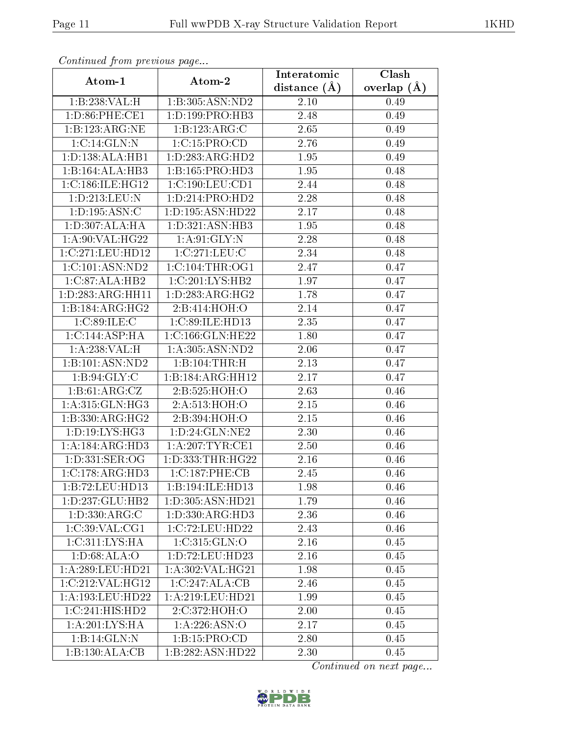| Continuea from previous page       |                      | Interatomic      | Clash         |
|------------------------------------|----------------------|------------------|---------------|
| Atom-1                             | Atom-2               | distance $(\AA)$ | overlap $(A)$ |
| 1:B:238:VAL:H                      | 1:B:305:ASN:ND2      | 2.10             | 0.49          |
| 1:D:86:PHE:CE1                     | 1:D:199:PRO:HB3      | 2.48             | 0.49          |
| 1:B:123:ARG:NE                     | 1:B:123:ARG:C        | 2.65             | 0.49          |
| 1:C:14:GLN:N                       | 1:C:15:PRO:CD        | 2.76             | 0.49          |
| 1: D: 138: ALA: HB1                | 1: D: 283: ARG: HD2  | 1.95             | 0.49          |
| 1:B:164:ALA:HB3                    | 1:B:165:PRO:HD3      | 1.95             | 0.48          |
| 1:C:186:ILE:HG12                   | 1:C:190:LEU:CD1      | 2.44             | 0.48          |
| 1:D:213:LEU:N                      | 1:D:214:PRO:HD2      | 2.28             | 0.48          |
| 1: D: 195: ASN: C                  | 1: D: 195: ASN: HD22 | 2.17             | 0.48          |
| 1: D: 307: ALA: HA                 | 1: D:321: ASN:HB3    | 1.95             | 0.48          |
| 1: A:90: VAL:HG22                  | 1: A:91: GLY:N       | 2.28             | 0.48          |
| 1:C:271:LEU:HD12                   | 1:C:271:LEU:C        | 2.34             | 0.48          |
| 1:C:101:ASN:ND2                    | $1:C:104$ : THR: OG1 | 2.47             | 0.47          |
| 1:C:87:ALA:HB2                     | 1:C:201:LYS:HB2      | 1.97             | 0.47          |
| 1:D:283:ARG:HH11                   | 1: D: 283: ARG: HG2  | 1.78             | 0.47          |
| 1:B:184:ARG:HG2                    | 2:B:414:HOH:O        | 2.14             | 0.47          |
| 1:C:89:ILE:C                       | 1:C:89:ILE:HD13      | 2.35             | 0.47          |
| 1:C:144:ASP:HA                     | 1:C:166:GLN:HE22     | 1.80             | 0.47          |
| 1:A:238:VAL:H                      | 1:A:305:ASN:ND2      | 2.06             | 0.47          |
| 1:B:101:ASN:ND2                    | 1:B:104:THR:H        | 2.13             | 0.47          |
| 1: B:94: GLY: C                    | 1:B:184:ARG:HH12     | 2.17             | 0.47          |
| 1:B:61:ARG:CZ                      | 2:B:525:HOH:O        | 2.63             | 0.46          |
| 1:A:315:GLN:HG3                    | 2:A:513:HOH:O        | $2.15\,$         | 0.46          |
| 1:B:330:ARG:HG2                    | 2:B:394:HOH:O        | 2.15             | 0.46          |
| 1:D:19:LYS:HG3                     | 1:D:24:GLN:NE2       | 2.30             | 0.46          |
| 1:A:184:ARG:HD3                    | 1: A:207:TYR:CE1     | 2.50             | 0.46          |
| 1: D: 331: SER: OG                 | 1: D: 333: THR: HG22 | $2.16\,$         | 0.46          |
| 1:C:178:ARG:HD3                    | 1:C:187:PHE:CB       | 2.45             | 0.46          |
| 1:B:72:LEU:HD13                    | 1:B:194:ILE:HD13     | 1.98             | 0.46          |
| 1:D:237:GLU:HB2                    | 1: D: 305: ASN: HD21 | 1.79             | 0.46          |
| 1: D: 330: ARG:C                   | 1: D: 330: ARG: HD3  | 2.36             | 0.46          |
| 1:C:39:VAL:CG1                     | 1:C:72:LEU:HD22      | 2.43             | 0.46          |
| $1:C:311:\overline{\text{LYS:HA}}$ | 1:C:315:GLN:O        | 2.16             | 0.45          |
| 1: D:68: ALA:O                     | 1:D:72:LEU:HD23      | $2.16\,$         | 0.45          |
| 1: A:289:LEU:HD21                  | 1: A:302: VAL:HG21   | 1.98             | 0.45          |
| $1:C:212:\overline{VAL:HG12}$      | 1:C:247:ALA:CB       | 2.46             | 0.45          |
| 1:A:193:LEU:HD22                   | 1:A:219:LEU:HD21     | 1.99             | 0.45          |
| 1:C:241:HIS:HD2                    | 2:C:372:HOH:O        | 2.00             | 0.45          |
| 1:A:201:LYS:HA                     | 1:A:226:ASN:O        | 2.17             | 0.45          |
| 1:B:14:GLN:N                       | 1:B:15:PRO:CD        | 2.80             | 0.45          |
| 1:B:130:ALA:CB                     | 1:B:282:ASN:HD22     | 2.30             | 0.45          |

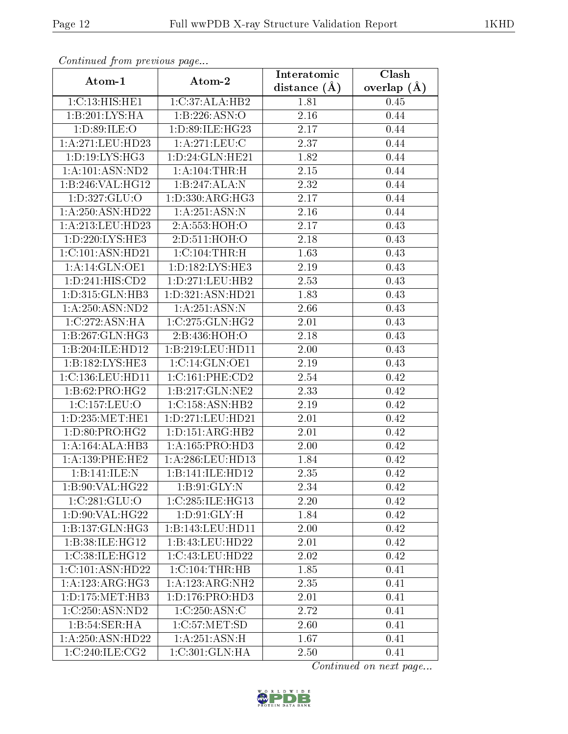| Continuaca from previous page       |                             | Interatomic    | Clash           |
|-------------------------------------|-----------------------------|----------------|-----------------|
| Atom-1                              | Atom-2                      | distance $(A)$ | overlap $(\AA)$ |
| 1:C:13:HIS:HE1                      | 1:C:37:ALA:HB2              | 1.81           | 0.45            |
| 1:B:201:LYS:HA                      | 1:B:226:ASN:O               | $2.16\,$       | 0.44            |
| 1: D:89: ILE: O                     | 1: D:89: ILE: HG23          | 2.17           | 0.44            |
| 1:A:271:LEU:HD23                    | 1: A:271:LEU: C             | 2.37           | 0.44            |
| 1:D:19:LYS:HG3                      | 1:D:24:GLN:HE21             | 1.82           | 0.44            |
| 1:A:101:ASN:ND2                     | 1:A:104:THR:H               | 2.15           | 0.44            |
| 1:B:246:VAL:HG12                    | 1:B:247:ALA:N               | 2.32           | 0.44            |
| 1: D: 327: GLU: O                   | 1: D: 330: ARG: HG3         | 2.17           | 0.44            |
| 1:A:250:ASN:HD22                    | 1: A:251: ASN:N             | 2.16           | 0.44            |
| 1:A:213:LEU:HD23                    | 2:A:553:HOH:O               | 2.17           | 0.43            |
| 1: D: 220: LYS: HE3                 | 2:D:511:HOH:O               | 2.18           | 0.43            |
| 1:C:101:ASN:HD21                    | 1: C: 104: THR:H            | 1.63           | 0.43            |
| 1:A:14:GLN:OE1                      | 1:D:182:LYS:HE3             | 2.19           | 0.43            |
| $1: D: 241: HIS: \overline{CD2}$    | 1: D: 271: LEU: HB2         | 2.53           | 0.43            |
| 1:D:315:GLN:HB3                     | 1:D:321:ASN:HD21            | 1.83           | 0.43            |
| 1:A:250:ASN:ND2                     | 1:A:251:ASN:N               | 2.66           | 0.43            |
| 1:C:272:ASN:HA                      | 1:C:275:GLN:HG2             | 2.01           | 0.43            |
| 1:B:267:GLN:HG3                     | 2:B:436:HOH:O               | 2.18           | 0.43            |
| 1:B:204:ILE:HD12                    | 1:B:219:LEU:HD11            | 2.00           | 0.43            |
| 1:B:182:LYS:HE3                     | $1:C:14:GLN:O\overline{E1}$ | $2.19\,$       | 0.43            |
| 1:C:136:LEU:HD11                    | 1:C:161:PHE:CD2             | 2.54           | 0.42            |
| 1: B:62: PRO:HG2                    | 1:B:217:GLN:NE2             | 2.33           | 0.42            |
| 1:C:157:LEU:O                       | 1:C:158:ASN:HB2             | 2.19           | 0.42            |
| 1: D: 235: MET: HE1                 | 1: D: 271: LEU: HD21        | 2.01           | 0.42            |
| $1: D:80: PRO:H\overline{G2}$       | 1: D: 151: ARG: HB2         | 2.01           | 0.42            |
| 1:A:164:ALA:HB3                     | 1: A: 165: PRO: HD3         | 2.00           | 0.42            |
| 1: A: 139: PHE: HE2                 | 1:A:286:LEU:HD13            | 1.84           | 0.42            |
| 1:Bi:141:ILE:N                      | 1:B:141:ILE:HD12            | 2.35           | 0.42            |
| 1:B:90:VAL:HG22                     | 1: B:91: GLY:N              | 2.34           | 0.42            |
| 1:C:281:GLU:O                       | 1:C:285:ILE:HG13            | 2.20           | 0.42            |
| 1: D:90: VAL:HG22                   | 1: D:91: GLY: H             | 1.84           | 0.42            |
| 1:B:137:GLN:HG3                     | 1:B:143:LEU:HD11            | 2.00           | 0.42            |
| 1:B:38:ILE:HG12                     | 1:B:43:LEU:HD22             | 2.01           | 0.42            |
| 1:C:38:ILE:HG12                     | 1:C:43:LEU:HD22             | 2.02           | 0.42            |
| 1:C:101:ASN:HD22                    | 1:C:104:THR:HB              | 1.85           | 0.41            |
| 1:A:123:ARG:HG3                     | 1:A:123:ARG:NH2             | 2.35           | 0.41            |
| 1:D:175:MET:HB3                     | 1:D:176:PRO:HD3             | 2.01           | 0.41            |
| 1:C:250:ASN:ND2                     | 1:C:250:ASN:C               | 2.72           | 0.41            |
| 1:B:54:SER:HA                       | 1: C: 57: MET: SD           | 2.60           | 0.41            |
| 1:A:250:ASN:HD22                    | 1:A:251:ASN:H               | 1.67           | 0.41            |
| $1:C:240:\overline{\text{ILE:CG2}}$ | 1:C:301:GLN:HA              | 2.50           | 0.41            |

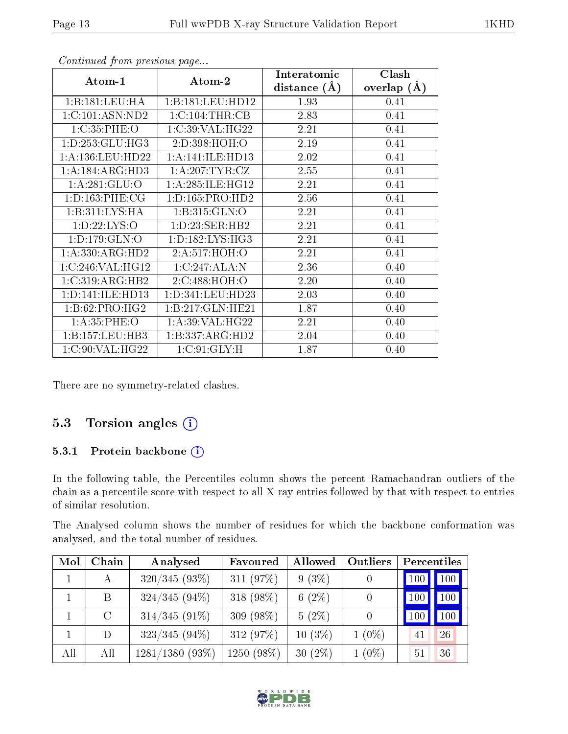| Atom-1                      | Atom-2               | Interatomic      | Clash         |
|-----------------------------|----------------------|------------------|---------------|
|                             |                      | distance $(\AA)$ | overlap $(A)$ |
| 1:B:181:LEU:HA              | 1:B:181:LEU:HD12     | 1.93             | 0.41          |
| 1:C:101:ASN:ND2             | 1:C:104:THR:CB       | 2.83             | 0.41          |
| 1:C:35:PHE:O                | 1:C:39:VAL:HG22      | 2.21             | 0.41          |
| 1: D: 253: GLU: HG3         | 2: D: 398: HOH: O    | 2.19             | 0.41          |
| 1:A:136:LEU:HD22            | 1:A:141:ILE:HD13     | 2.02             | 0.41          |
| 1:A:184:ARG:HD3             | 1: A:207:TYR:CZ      | 2.55             | 0.41          |
| 1: A:281: GLU:O             | 1: A:285: ILE: HG12  | 2.21             | 0.41          |
| 1: D: 163: PHE: CG          | 1: D: 165: PRO: HD2  | 2.56             | 0.41          |
| $1:B:311:LYS:\overline{HA}$ | 1: B: 315: GLN: O    | 2.21             | 0.41          |
| 1: D: 22: LYS: O            | 1: D: 23: SER: HB2   | 2.21             | 0.41          |
| 1: D: 179: GLN: O           | 1:D:182:LYS:HG3      | 2.21             | 0.41          |
| 1:A:330:ARG:HD2             | 2: A:517:HOH:O       | 2.21             | 0.41          |
| 1:C:246:VAL:HG12            | 1:C:247:ALA:N        | 2.36             | 0.40          |
| 1:C:319:ARG:HB2             | 2:C:488:HOH:O        | 2.20             | 0.40          |
| 1: D: 141: ILE: HD13        | 1: D: 341: LEU: HD23 | 2.03             | 0.40          |
| 1:B:62:PRO:HG2              | 1:B:217:GLN:HE21     | 1.87             | 0.40          |
| 1: A:35:PHE:O               | 1:A:39:VAL:HG22      | 2.21             | 0.40          |
| 1: B: 157: LEU: HB3         | 1:B:337:ARG:HD2      | 2.04             | 0.40          |
| 1:C:90:VAL:HG22             | 1:C:91:GLY:H         | 1.87             | 0.40          |

There are no symmetry-related clashes.

### 5.3 Torsion angles (i)

#### 5.3.1 Protein backbone (i)

In the following table, the Percentiles column shows the percent Ramachandran outliers of the chain as a percentile score with respect to all X-ray entries followed by that with respect to entries of similar resolution.

The Analysed column shows the number of residues for which the backbone conformation was analysed, and the total number of residues.

| Mol | Chain   | Analysed          | Favoured   | Allowed   | Outliers | Percentiles |     |
|-----|---------|-------------------|------------|-----------|----------|-------------|-----|
|     | A       | $320/345(93\%)$   | 311 (97%)  | $9(3\%)$  |          | 100         | 100 |
|     | B       | $324/345(94\%)$   | 318 (98%)  | 6 $(2\%)$ | $\Omega$ | 100         | 100 |
|     | $\rm C$ | $314/345(91\%)$   | 309 (98%)  | $5(2\%)$  | $\theta$ | 100         | 100 |
|     | D       | $323/345(94\%)$   | 312 (97%)  | $10(3\%)$ | $1(0\%)$ | 41          | 26  |
| All | All     | $1281/1380(93\%)$ | 1250 (98%) | $30(2\%)$ | $1(0\%)$ | 51          | 36  |

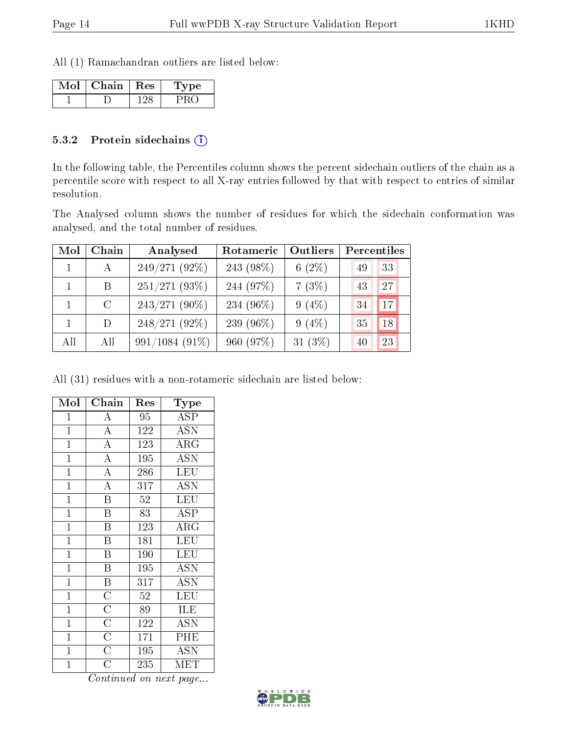All (1) Ramachandran outliers are listed below:

| Mol | Chain   Res | Type |
|-----|-------------|------|
|     |             |      |

#### 5.3.2 Protein sidechains (i)

In the following table, the Percentiles column shows the percent sidechain outliers of the chain as a percentile score with respect to all X-ray entries followed by that with respect to entries of similar resolution.

The Analysed column shows the number of residues for which the sidechain conformation was analysed, and the total number of residues.

| Mol | Chain         | Analysed        | Rotameric | Outliers   | Percentiles |
|-----|---------------|-----------------|-----------|------------|-------------|
|     | $\mathbf{A}$  | $249/271(92\%)$ | 243 (98%) | 6 $(2\%)$  | 33<br>-49   |
|     | B.            | $251/271(93\%)$ | 244 (97%) | 7(3%)      | 27<br>43    |
|     | $\mathcal{C}$ | $243/271(90\%)$ | 234 (96%) | $9(4\%)$   | 17<br>34    |
|     | D             | 248/271 (92%)   | 239 (96%) | $9(4\%)$   | 18<br>35    |
| All | All           | 991/1084 (91%)  | 960 (97%) | 31 $(3\%)$ | 23<br>40    |

All (31) residues with a non-rotameric sidechain are listed below:

| Mol            | Chain                               | Res | $_{\rm Type}$             |
|----------------|-------------------------------------|-----|---------------------------|
| 1              | A                                   | 95  | <b>ASP</b>                |
| $\mathbf{1}$   | $\overline{A}$                      | 122 | <b>ASN</b>                |
| $\mathbf{1}$   | $\overline{\rm A}$                  | 123 | $\rm{ARG}$                |
| $\mathbf{1}$   | $\overline{\rm A}$                  | 195 | $\overline{\text{ASN}}$   |
| $\mathbf{1}$   | $\overline{\rm A}$                  | 286 | LEU                       |
| $\mathbf{1}$   | $\overline{A}$                      | 317 | $\overline{\mathrm{ASN}}$ |
| $\mathbf{1}$   | $\overline{\text{B}}$               | 52  | LEU                       |
| $\mathbf{1}$   | $\overline{\mathrm{B}}$             | 83  | <b>ASP</b>                |
| $\mathbf{1}$   | $\overline{\mathrm{B}}$             | 123 | $\rm{ARG}$                |
| $\overline{1}$ | B                                   | 181 | LEU                       |
| $\mathbf{1}$   | B                                   | 190 | LEU                       |
| $\mathbf{1}$   | B                                   | 195 | <b>ASN</b>                |
| $\mathbf{1}$   | $\overline{\mathbf{B}}$             | 317 | $\overline{\mathrm{ASN}}$ |
| $\mathbf{1}$   | $\frac{\overline{C}}{\overline{C}}$ | 52  | LEU                       |
| $\mathbf{1}$   |                                     | 89  | ILE                       |
| $\mathbf{1}$   | $\overline{C}$                      | 122 | <b>ASN</b>                |
| $\overline{1}$ | $\overline{\rm C}$                  | 171 | PHE                       |
| $\overline{1}$ | $\overline{C}$                      | 195 | <b>ASN</b>                |
| $\mathbf 1$    | $\overline{\rm C}$                  | 235 | MET                       |

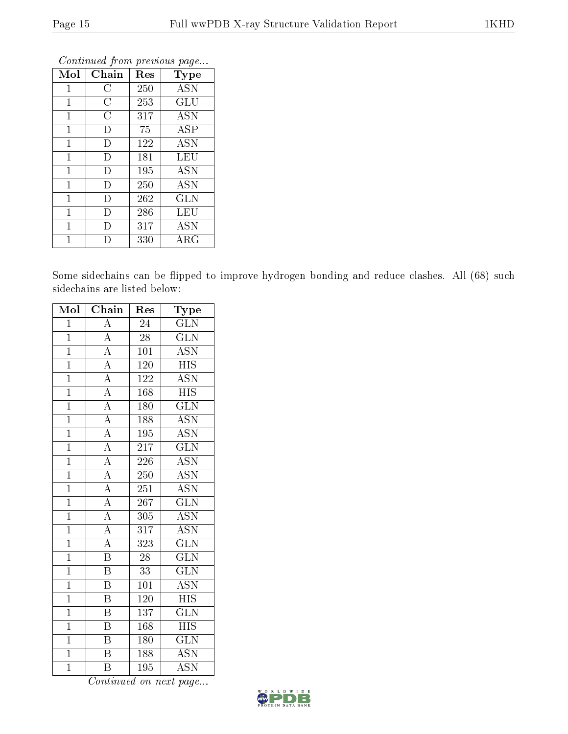| Mol          | Chain              | Res | Type                 |
|--------------|--------------------|-----|----------------------|
| $\mathbf 1$  | $\overline{\rm C}$ | 250 | ASN                  |
| $\mathbf{1}$ | $\overline{\rm C}$ | 253 | $\operatorname{GLU}$ |
| 1            | C                  | 317 | ASN                  |
| $\mathbf{1}$ | D                  | 75  | <b>ASP</b>           |
| 1            | D                  | 122 | ASN                  |
| $\mathbf 1$  | D                  | 181 | LEU                  |
| $\mathbf{1}$ | D                  | 195 | <b>ASN</b>           |
| $\mathbf{1}$ | D                  | 250 | <b>ASN</b>           |
| $\mathbf{1}$ | D                  | 262 | <b>GLN</b>           |
| $\mathbf{1}$ | Ð                  | 286 | LEU                  |
| 1            | Ð                  | 317 | ASN                  |
| 1            |                    | 330 | ${\rm ARG}$          |

Some sidechains can be flipped to improve hydrogen bonding and reduce clashes. All (68) such sidechains are listed below:

| Mol            | Chain                               | Res              | Type                      |
|----------------|-------------------------------------|------------------|---------------------------|
| $\mathbf{1}$   | $\overline{A}$                      | 24               | <b>GLN</b>                |
| $\overline{1}$ | $\overline{A}$                      | $\overline{28}$  | $\overline{\text{GLN}}$   |
| $\overline{1}$ | $\overline{A}$                      | 101              | $\overline{\text{ASN}}$   |
| $\mathbf{1}$   | $\overline{A}$                      | 120              | $\overline{HIS}$          |
| $\overline{1}$ | $\overline{A}$                      | 122              | $\overline{\text{ASN}}$   |
| $\mathbf{1}$   | $\overline{A}$                      | 168              | $\overline{\text{HIS}}$   |
| $\overline{1}$ | $\overline{A}$                      | 180              | $\overline{\text{GLN}}$   |
| $\overline{1}$ | $\overline{A}$                      | 188              | <b>ASN</b>                |
| $\overline{1}$ | $\overline{A}$                      | 195              | $\overline{\mathrm{ASN}}$ |
| $\overline{1}$ | $\overline{A}$                      | $2\overline{17}$ | $\overline{\text{GLN}}$   |
| $\overline{1}$ | $\frac{1}{\mathbf{A}}$              | 226              | <b>ASN</b>                |
| $\overline{1}$ | $\frac{\overline{A}}{\overline{A}}$ | 250              | $\overline{\mathrm{ASN}}$ |
| $\overline{1}$ |                                     | $\overline{251}$ | $\overline{\mathrm{ASN}}$ |
| $\overline{1}$ | $\overline{A}$                      | $\overline{267}$ | $\overline{\text{GLN}}$   |
| $\overline{1}$ | $\overline{A}$                      | $\overline{305}$ | $\overline{\text{ASN}}$   |
| $\overline{1}$ | $\frac{1}{\mathbf{A}}$              | $\overline{317}$ | <b>ASN</b>                |
| $\overline{1}$ | $\overline{A}$                      | $\overline{323}$ | $\overline{\text{GLN}}$   |
| $\overline{1}$ | $\overline{\mathrm{B}}$             | 28               | $\widetilde{{\rm GLN}}$   |
| $\overline{1}$ | $\overline{\mathrm{B}}$             | $\overline{33}$  | $\overline{\text{GLN}}$   |
| $\overline{1}$ | $\overline{\mathrm{B}}$             | 101              | <b>ASN</b>                |
| $\overline{1}$ | $\, {\bf B}$                        | 120              | $\overline{HIS}$          |
| $\overline{1}$ | $\overline{\mathrm{B}}$             | 137              | $\overline{\text{GLN}}$   |
| $\mathbf{1}$   | B                                   | 168              | <b>HIS</b>                |
| $\overline{1}$ | $\overline{\mathrm{B}}$             | 180              | $\overline{\text{GLN}}$   |
| $\overline{1}$ | B                                   | 188              | <b>ASN</b>                |
| $\overline{1}$ | $\overline{\mathrm{B}}$             | 195              | $\overline{\mathrm{ASN}}$ |

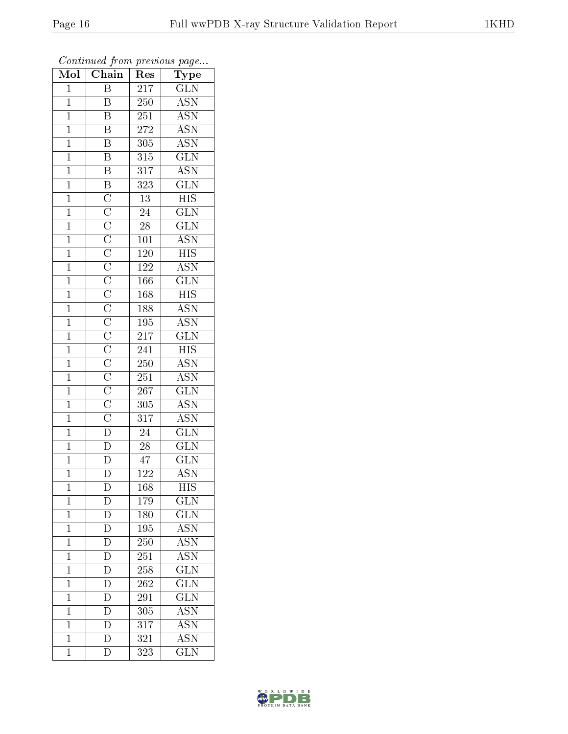| $\overline{\text{Mol}}$ | $\boldsymbol{\mathsf{v}}$<br>Chain | Res              | $\mathbf{r}$<br>$\overline{\phantom{a}}$<br>Type |
|-------------------------|------------------------------------|------------------|--------------------------------------------------|
| $\mathbf{1}$            | $\overline{\mathrm{B}}$            | 217              | <b>GLN</b>                                       |
| $\overline{1}$          | B                                  | $\overline{250}$ | $\overline{\mathrm{ASN}}$                        |
| $\overline{1}$          | Β                                  | 251              | <b>ASN</b>                                       |
| $\mathbf{1}$            | $\overline{B}$                     | $\overline{272}$ | <b>ASN</b>                                       |
| $\mathbf{1}$            | $\overline{B}$                     | 305              | $\overline{\text{ASN}}$                          |
| $\overline{1}$          | $\overline{\mathrm{B}}$            | $3\sqrt{15}$     | $\overline{\text{GLN}}$                          |
| $\overline{1}$          | $\overline{B}$                     | 317              | $\overline{\text{ASN}}$                          |
| $\mathbf{1}$            |                                    | $\overline{323}$ | $\overline{\text{GLN}}$                          |
| $\mathbf{1}$            |                                    | $\overline{13}$  | $\overline{HIS}$                                 |
| $\overline{1}$          |                                    | $\overline{24}$  | $\overline{\text{GLN}}$                          |
| $\mathbf{1}$            |                                    | 28               | $\overline{\text{GLN}}$                          |
| $\overline{1}$          |                                    | 101              | <b>ASN</b>                                       |
| $\overline{1}$          |                                    | <b>120</b>       | <b>HIS</b>                                       |
| $\mathbf{1}$            |                                    | 122              | <b>ASN</b>                                       |
| $\overline{1}$          |                                    | 166              | $\overline{\text{GLN}}$                          |
| $\overline{1}$          |                                    | 168              | <b>HIS</b>                                       |
| $\overline{1}$          |                                    | 188              | <b>ASN</b>                                       |
| $\overline{1}$          |                                    | 195              | <b>ASN</b>                                       |
| $\mathbf{1}$            |                                    | 217              | $\overline{\text{GLN}}$                          |
| $\overline{1}$          |                                    | 241              | <b>HIS</b>                                       |
| $\mathbf{1}$            |                                    | 250              | $\overline{\mathrm{ASN}}$                        |
| $\overline{1}$          |                                    | 251              | $\overline{\mathrm{ASN}}$                        |
| $\mathbf 1$             |                                    | 267              | $\overline{\text{GLN}}$                          |
| $\overline{1}$          |                                    | 305              | $\overline{\text{ASN}}$                          |
| $\mathbf{1}$            |                                    | 317              | <b>ASN</b>                                       |
| $\overline{1}$          |                                    | 24               | $\overline{\text{GLN}}$                          |
| $\mathbf{1}$            |                                    | $\overline{28}$  | $\overline{\text{GLN}}$                          |
| $\mathbf{1}$            |                                    | $\sqrt{47}$      | $\overline{\text{GLN}}$                          |
| $\overline{1}$          | $\overline{\rm D}$                 | 122              | $\overline{\mathrm{ASN}}$                        |
| $\mathbf 1$             | $\mathbf D$                        | 168              | HIS                                              |
| $\mathbf{1}$            | $\mathbf D$                        | 179              | $\widetilde{{\rm GLN}}$                          |
| $\mathbf{1}$            | $\overline{D}$                     | 180              | $\overline{\text{GLN}}$                          |
| $\mathbf{1}$            | $\mathbf D$                        | 195              | <b>ASN</b>                                       |
| $\mathbf 1$             | $\overline{\rm D}$                 | 250              | <b>ASN</b>                                       |
| $\mathbf{1}$            | $\overline{\rm D}$                 | 251              | ASN                                              |
| $\mathbf 1$             | $\overline{\rm D}$                 | 258              | $\overline{\text{GLN}}$                          |
| $\mathbf{1}$            | $\overline{\rm D}$                 | 262              | $\overline{\text{GLN}}$                          |
| $\mathbf{1}$            | $\overline{\rm D}$                 | 291              | $\overline{\text{GLN}}$                          |
| $\mathbf{1}$            | $\overline{\rm D}$                 | 305              | $\overline{\text{ASN}}$                          |
| $\mathbf 1$             | D                                  | 317              | <b>ASN</b>                                       |
| $\mathbf 1$             | $\overline{\rm D}$                 | 321              | $\overline{\text{ASN}}$                          |
| $\overline{1}$          | $\overline{\rm D}$                 | 323              | <b>GLN</b>                                       |

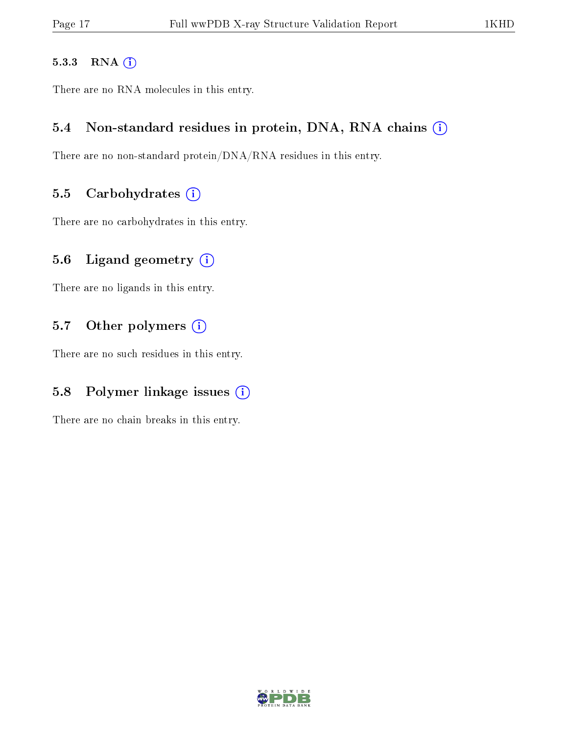#### 5.3.3 RNA [O](https://www.wwpdb.org/validation/2017/XrayValidationReportHelp#rna)i

There are no RNA molecules in this entry.

### 5.4 Non-standard residues in protein, DNA, RNA chains (i)

There are no non-standard protein/DNA/RNA residues in this entry.

### 5.5 Carbohydrates  $(i)$

There are no carbohydrates in this entry.

## 5.6 Ligand geometry  $(i)$

There are no ligands in this entry.

## 5.7 [O](https://www.wwpdb.org/validation/2017/XrayValidationReportHelp#nonstandard_residues_and_ligands)ther polymers (i)

There are no such residues in this entry.

## 5.8 Polymer linkage issues  $(i)$

There are no chain breaks in this entry.